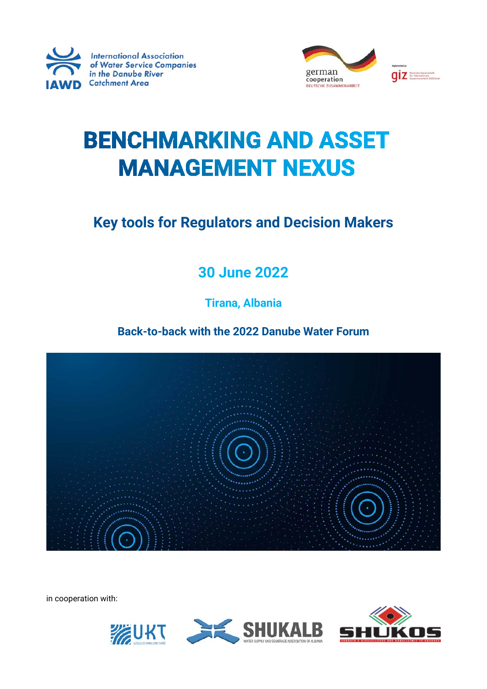



# **BENCHMARKING AND ASSET MANAGEMENT NEXUS**

**Key tools for Regulators and Decision Makers**

### **30 June 2022**

**Tirana, Albania**

**Back-to-back with the 2022 Danube Water Forum**



in cooperation with:



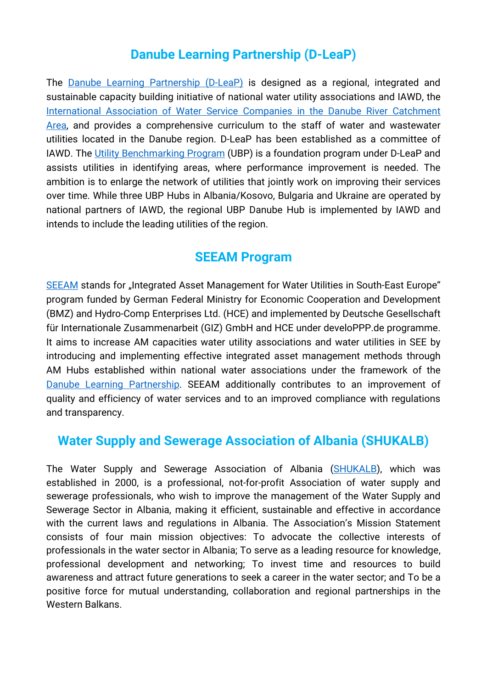#### **Danube Learning Partnership (D-LeaP)**

The **[Danube Learning Partnership \(D-LeaP\)](https://www.iawd.at/eng/about/d-leap/)** is designed as a regional, integrated and sustainable capacity building initiative of national water utility associations and IAWD, the International Association of Water Service Companies in the Danube River Catchment [Area,](https://www.iawd.at/eng/about/iawd/) and provides a comprehensive curriculum to the staff of water and wastewater utilities located in the Danube region. D-LeaP has been established as a committee of IAWD. The [Utility Benchmarking Program](https://www.iawd.at/eng/danube-toolbox/d-leap/programs/utility-benchmarking-program/) (UBP) is a foundation program under D-LeaP and assists utilities in identifying areas, where performance improvement is needed. The ambition is to enlarge the network of utilities that jointly work on improving their services over time. While three UBP Hubs in Albania/Kosovo, Bulgaria and Ukraine are operated by national partners of IAWD, the regional UBP Danube Hub is implemented by IAWD and intends to include the leading utilities of the region.

#### **SEEAM Program**

[SEEAM](https://www.seeam.eu/) stands for "Integrated Asset Management for Water Utilities in South-East Europe" program funded by German Federal Ministry for Economic Cooperation and Development (BMZ) and Hydro-Comp Enterprises Ltd. (HCE) and implemented by Deutsche Gesellschaft für Internationale Zusammenarbeit (GIZ) GmbH and HCE under develoPPP.de programme. It aims to increase AM capacities water utility associations and water utilities in SEE by introducing and implementing effective integrated asset management methods through AM Hubs established within national water associations under the framework of the [Danube Learning Partnership.](https://www.iawd.at/d-leap) SEEAM additionally contributes to an improvement of quality and efficiency of water services and to an improved compliance with regulations and transparency.

#### **Water Supply and Sewerage Association of Albania (SHUKALB)**

The Water Supply and Sewerage Association of Albania [\(SHUKALB\)](https://shukalb.al/sq/), which was established in 2000, is a professional, not-for-profit Association of water supply and sewerage professionals, who wish to improve the management of the Water Supply and Sewerage Sector in Albania, making it efficient, sustainable and effective in accordance with the current laws and regulations in Albania. The Association's Mission Statement consists of four main mission objectives: To advocate the collective interests of professionals in the water sector in Albania; To serve as a leading resource for knowledge, professional development and networking; To invest time and resources to build awareness and attract future generations to seek a career in the water sector; and To be a positive force for mutual understanding, collaboration and regional partnerships in the Western Balkans.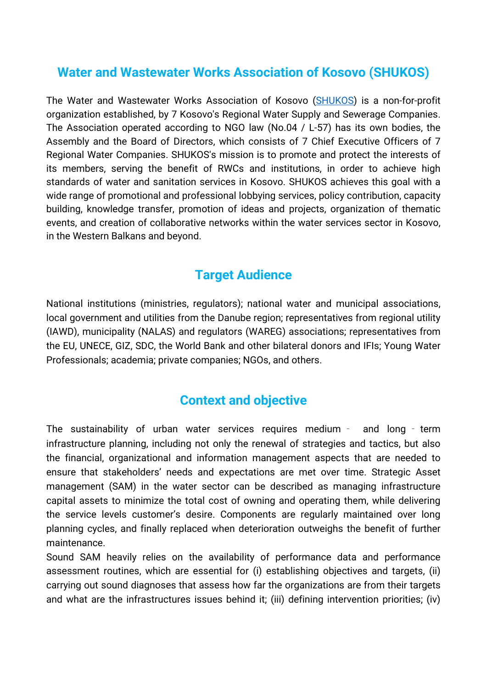#### **Water and Wastewater Works Association of Kosovo (SHUKOS)**

The Water and Wastewater Works Association of Kosovo [\(SHUKOS\)](http://shukos.org/) is a non-for-profit organization established, by 7 Kosovo's Regional Water Supply and Sewerage Companies. The Association operated according to NGO law (No.04 / L-57) has its own bodies, the Assembly and the Board of Directors, which consists of 7 Chief Executive Officers of 7 Regional Water Companies. SHUKOS's mission is to promote and protect the interests of its members, serving the benefit of RWCs and institutions, in order to achieve high standards of water and sanitation services in Kosovo. SHUKOS achieves this goal with a wide range of promotional and professional lobbying services, policy contribution, capacity building, knowledge transfer, promotion of ideas and projects, organization of thematic events, and creation of collaborative networks within the water services sector in Kosovo, in the Western Balkans and beyond.

#### **Target Audience**

National institutions (ministries, regulators); national water and municipal associations, local government and utilities from the Danube region; representatives from regional utility (IAWD), municipality (NALAS) and regulators (WAREG) associations; representatives from the EU, UNECE, GIZ, SDC, the World Bank and other bilateral donors and IFIs; Young Water Professionals; academia; private companies; NGOs, and others.

#### **Context and objective**

The sustainability of urban water services requires medium - and long - term infrastructure planning, including not only the renewal of strategies and tactics, but also the financial, organizational and information management aspects that are needed to ensure that stakeholders' needs and expectations are met over time. Strategic Asset management (SAM) in the water sector can be described as managing infrastructure capital assets to minimize the total cost of owning and operating them, while delivering the service levels customer's desire. Components are regularly maintained over long planning cycles, and finally replaced when deterioration outweighs the benefit of further maintenance.

Sound SAM heavily relies on the availability of performance data and performance assessment routines, which are essential for (i) establishing objectives and targets, (ii) carrying out sound diagnoses that assess how far the organizations are from their targets and what are the infrastructures issues behind it; (iii) defining intervention priorities; (iv)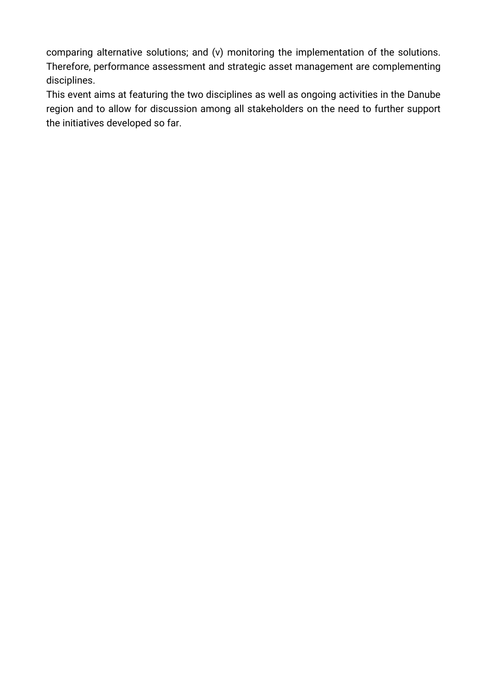comparing alternative solutions; and (v) monitoring the implementation of the solutions. Therefore, performance assessment and strategic asset management are complementing disciplines.

This event aims at featuring the two disciplines as well as ongoing activities in the Danube region and to allow for discussion among all stakeholders on the need to further support the initiatives developed so far.